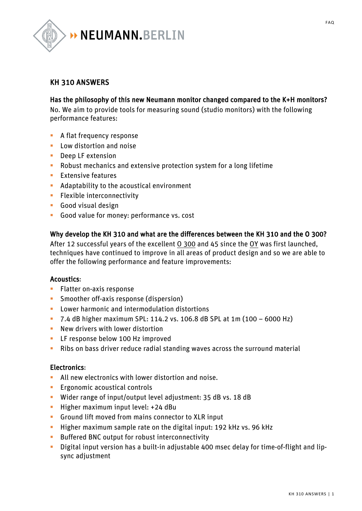

# KH 310 ANSWERS

## Has the philosophy of this new Neumann monitor changed compared to the K+H monitors?

No. We aim to provide tools for measuring sound (studio monitors) with the following performance features:

- § A flat frequency response
- Low distortion and noise
- Deep LF extension
- Robust mechanics and extensive protection system for a long lifetime
- § Extensive features
- **EXTEND Adaptability to the acoustical environment**
- **•** Flexible interconnectivity
- § Good visual design
- § Good value for money: performance vs. cost

#### Why develop the KH 310 and what are the differences between the KH 310 and the O 300?

After 12 successful years of the excellent O 300 and 45 since the OY was first launched, techniques have continued to improve in all areas of product design and so we are able to offer the following performance and feature improvements:

#### Acoustics:

- Flatter on-axis response
- **•** Smoother off-axis response (dispersion)
- Lower harmonic and intermodulation distortions
- § 7.4 dB higher maximum SPL: 114.2 vs. 106.8 dB SPL at 1m (100 6000 Hz)
- § New drivers with lower distortion
- **EXECT** LF response below 100 Hz improved
- **Ribs on bass driver reduce radial standing waves across the surround material**

#### Electronics:

- **All new electronics with lower distortion and noise.**
- **Example 2** Ergonomic acoustical controls
- § Wider range of input/output level adjustment: 35 dB vs. 18 dB
- **•** Higher maximum input level: +24 dBu
- § Ground lift moved from mains connector to XLR input
- **EXTERGH** Higher maximum sample rate on the digital input: 192 kHz vs. 96 kHz
- Buffered BNC output for robust interconnectivity
- **•** Digital input version has a built-in adjustable 400 msec delay for time-of-flight and lipsync adjustment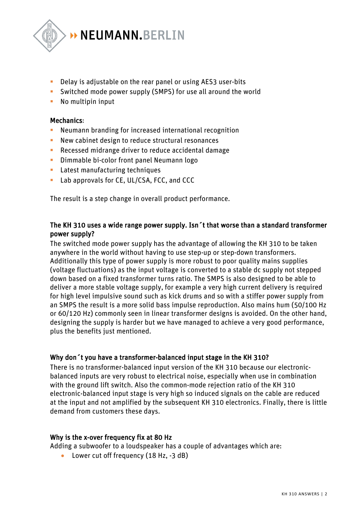

- Delay is adjustable on the rear panel or using AES3 user-bits
- § Switched mode power supply (SMPS) for use all around the world
- § No multipin input

#### Mechanics:

- § Neumann branding for increased international recognition
- New cabinet design to reduce structural resonances
- Recessed midrange driver to reduce accidental damage
- **•** Dimmable bi-color front panel Neumann logo
- Latest manufacturing techniques
- Lab approvals for CE, UL/CSA, FCC, and CCC

The result is a step change in overall product performance.

## The KH 310 uses a wide range power supply. Isn´t that worse than a standard transformer power supply?

The switched mode power supply has the advantage of allowing the KH 310 to be taken anywhere in the world without having to use step-up or step-down transformers. Additionally this type of power supply is more robust to poor quality mains supplies (voltage fluctuations) as the input voltage is converted to a stable dc supply not stepped down based on a fixed transformer turns ratio. The SMPS is also designed to be able to deliver a more stable voltage supply, for example a very high current delivery is required for high level impulsive sound such as kick drums and so with a stiffer power supply from an SMPS the result is a more solid bass impulse reproduction. Also mains hum (50/100 Hz or 60/120 Hz) commonly seen in linear transformer designs is avoided. On the other hand, designing the supply is harder but we have managed to achieve a very good performance, plus the benefits just mentioned.

#### Why don´t you have a transformer-balanced input stage in the KH 310?

There is no transformer-balanced input version of the KH 310 because our electronicbalanced inputs are very robust to electrical noise, especially when use in combination with the ground lift switch. Also the common-mode rejection ratio of the KH 310 electronic-balanced input stage is very high so induced signals on the cable are reduced at the input and not amplified by the subsequent KH 310 electronics. Finally, there is little demand from customers these days.

#### Why is the x-over frequency fix at 80 Hz

Adding a subwoofer to a loudspeaker has a couple of advantages which are:

• Lower cut off frequency (18 Hz, -3 dB)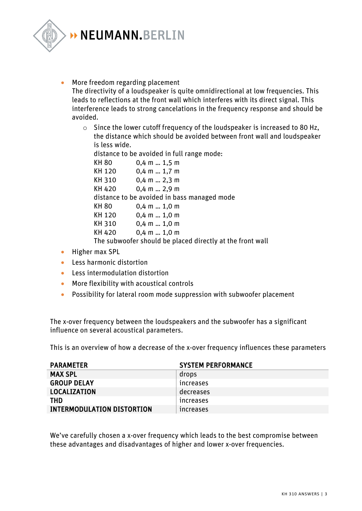

• More freedom regarding placement

The directivity of a loudspeaker is quite omnidirectional at low frequencies. This leads to reflections at the front wall which interferes with its direct signal. This interference leads to strong cancelations in the frequency response and should be avoided.

o Since the lower cutoff frequency of the loudspeaker is increased to 80 Hz, the distance which should be avoided between front wall and loudspeaker is less wide.

distance to be avoided in full range mode:

| <b>KH 80</b> | $0,4$ m $1,5$ m                                           |
|--------------|-----------------------------------------------------------|
| KH 120       | $0,4$ m  1,7 m                                            |
| KH 310       | $0,4$ m  2,3 m                                            |
| KH 420       | $0,4$ m  2,9 m                                            |
|              | distance to be avoided in bass managed mode               |
| <b>KH 80</b> | $0,4$ m  1,0 m                                            |
| KH 120       | $0,4$ m  1,0 m                                            |
| KH 310       | $0,4$ m $$ 1,0 m                                          |
| KH 420       | $0,4$ m $$ 1,0 m                                          |
|              | The subwoofer should be placed directly at the front wall |

- Higher max SPL
- Less harmonic distortion
- Less intermodulation distortion
- More flexibility with acoustical controls
- Possibility for lateral room mode suppression with subwoofer placement

The x-over frequency between the loudspeakers and the subwoofer has a significant influence on several acoustical parameters.

This is an overview of how a decrease of the x-over frequency influences these parameters

| <b>PARAMETER</b>                  | <b>SYSTEM PERFORMANCE</b> |
|-----------------------------------|---------------------------|
| <b>MAX SPL</b>                    | drops                     |
| <b>GROUP DELAY</b>                | <b>Increases</b>          |
| LOCALIZATION                      | decreases                 |
| <b>THD</b>                        | <b>Increases</b>          |
| <b>INTERMODULATION DISTORTION</b> | <i>ncreases</i>           |

We've carefully chosen a x-over frequency which leads to the best compromise between these advantages and disadvantages of higher and lower x-over frequencies.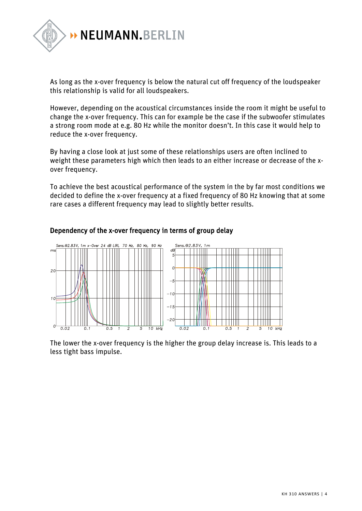

As long as the x-over frequency is below the natural cut off frequency of the loudspeaker this relationship is valid for all loudspeakers.

However, depending on the acoustical circumstances inside the room it might be useful to change the x-over frequency. This can for example be the case if the subwoofer stimulates a strong room mode at e.g. 80 Hz while the monitor doesn't. In this case it would help to reduce the x-over frequency.

By having a close look at just some of these relationships users are often inclined to weight these parameters high which then leads to an either increase or decrease of the xover frequency.

To achieve the best acoustical performance of the system in the by far most conditions we decided to define the x-over frequency at a fixed frequency of 80 Hz knowing that at some rare cases a different frequency may lead to slightly better results.



## Dependency of the x-over frequency in terms of group delay

The lower the x-over frequency is the higher the group delay increase is. This leads to a less tight bass impulse.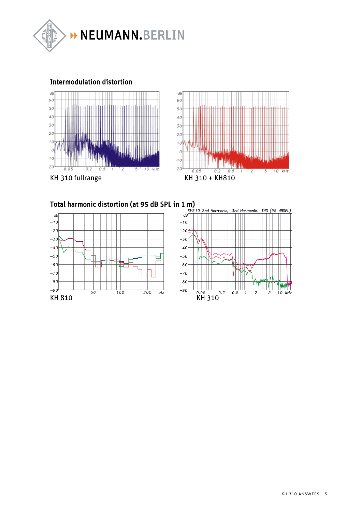

Intermodulation distortion



Total harmonic distortion (at 95 dB SPL in 1 m)



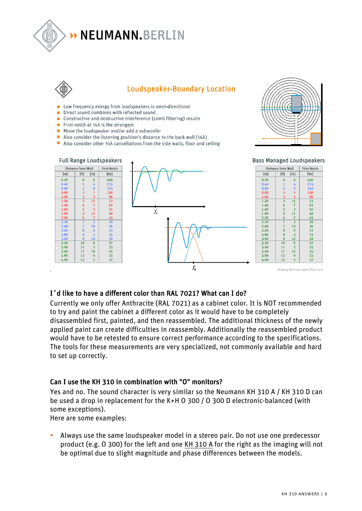

# **NEUMANN.BERLIN**



# **Loudspeaker-Boundary Location**

- Low frequency energy from loudspeakers is omni-directional
- Direct sound combines with reflected sound
- Constructive and destructive interference (comb filtering) results
- **First notch at**  $\frac{1}{4}\lambda$  **is the strongest**
- $\blacksquare$  Move the loudspeaker and/or add a subwoofer
- Also consider the listening position's distance to the back wall  $(1/4\lambda)$
- Also consider other  $\frac{1}{2}\lambda$  cancellations from the side walls, floor and ceiling





# I´d like to have a different color than RAL 7021? What can I do?

Currently we only offer Anthracite (RAL 7021) as a cabinet color. It is NOT recommended to try and paint the cabinet a different color as it would have to be completely disassembled first, painted, and then reassembled. The additional thickness of the newly applied paint can create difficulties in reassembly. Additionally the reassembled product would have to be retested to ensure correct performance according to the specifications. The tools for these measurements are very specialized, not commonly available and hard to set up correctly.

#### Can I use the KH 310 in combination with "O" monitors?

Yes and no. The sound character is very similar so the Neumann KH 310 A / KH 310 D can be used a drop in replacement for the K+H O 300 / O 300 D electronic-balanced (with some exceptions).

Here are some examples:

§ Always use the same loudspeaker model in a stereo pair. Do not use one predecessor product (e.g. O 300) for the left and one KH 310 A for the right as the imaging will not be optimal due to slight magnitude and phase differences between the models.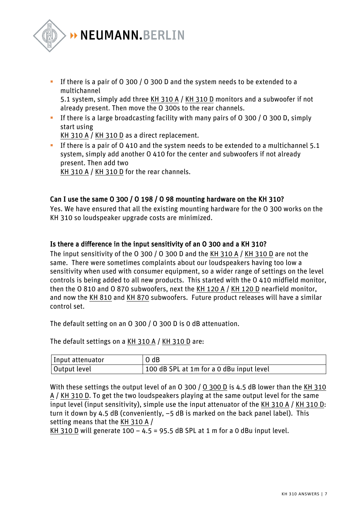

**•** If there is a pair of 0 300 / 0 300 D and the system needs to be extended to a multichannel

5.1 system, simply add three KH 310 A / KH 310 D monitors and a subwoofer if not already present. Then move the O 300s to the rear channels.

**•** If there is a large broadcasting facility with many pairs of 0 300 / 0 300 D, simply start using

KH 310 A / KH 310 D as a direct replacement.

**•** If there is a pair of O 410 and the system needs to be extended to a multichannel 5.1 system, simply add another O 410 for the center and subwoofers if not already present. Then add two

KH 310 A / KH 310 D for the rear channels.

# Can I use the same O 300 / O 198 / O 98 mounting hardware on the KH 310?

Yes. We have ensured that all the existing mounting hardware for the O 300 works on the KH 310 so loudspeaker upgrade costs are minimized.

# Is there a difference in the input sensitivity of an O 300 and a KH 310?

The input sensitivity of the O 300 / O 300 D and the KH 310 A / KH 310 D are not the same. There were sometimes complaints about our loudspeakers having too low a sensitivity when used with consumer equipment, so a wider range of settings on the level controls is being added to all new products. This started with the O 410 midfield monitor, then the O 810 and O 870 subwoofers, next the KH 120 A / KH 120 D nearfield monitor, and now the KH 810 and KH 870 subwoofers. Future product releases will have a similar control set.

The default setting on an O 300 / O 300 D is 0 dB attenuation.

The default settings on a KH 310 A / KH 310 D are:

| Input attenuator | 0 <sub>d</sub> B                           |
|------------------|--------------------------------------------|
| Output level     | ' 100 dB SPL at 1m for a 0 dBu input level |

With these settings the output level of an O 300 / O 300 D is 4.5 dB lower than the KH 310 A / KH 310 D. To get the two loudspeakers playing at the same output level for the same input level (input sensitivity), simple use the input attenuator of the KH 310 A / KH 310 D: turn it down by 4.5 dB (conveniently, –5 dB is marked on the back panel label). This setting means that the KH 310 A /

KH 310 D will generate  $100 - 4.5 = 95.5$  dB SPL at 1 m for a 0 dBu input level.